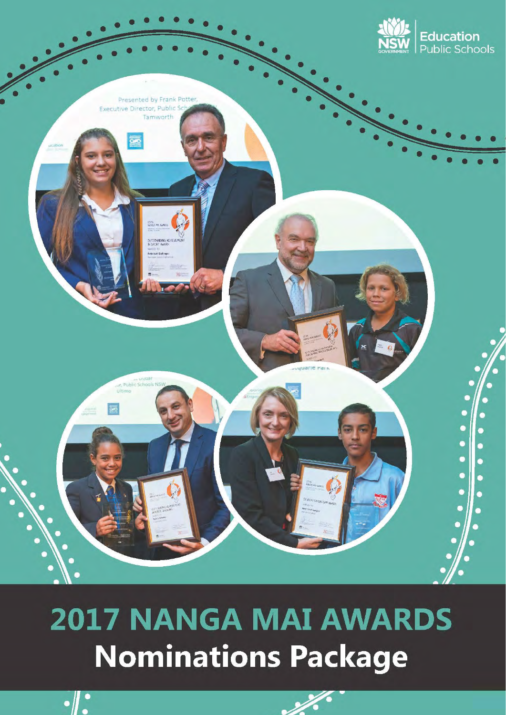

# **2017 NANGA MAI AWARDS Nominations Package**



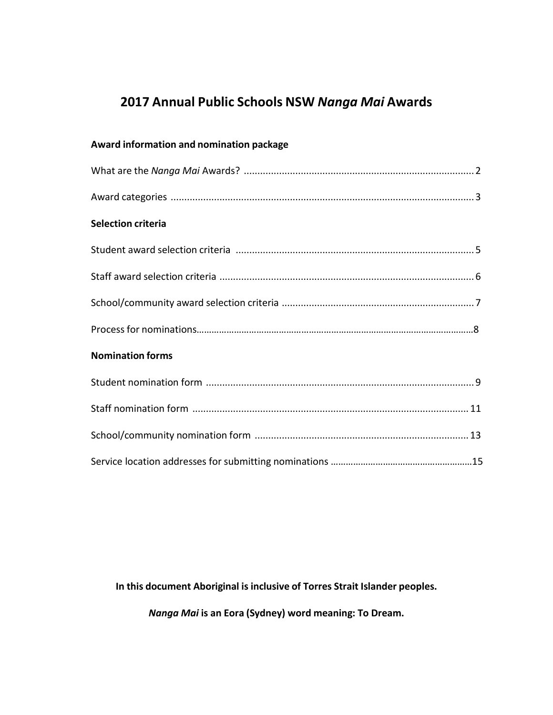# **2017 Annual Public Schools NSW** *Nanga Mai* **Awards**

| <b>Award information and nomination package</b> |
|-------------------------------------------------|
|                                                 |
|                                                 |
| <b>Selection criteria</b>                       |
|                                                 |
|                                                 |
|                                                 |
|                                                 |
| <b>Nomination forms</b>                         |
|                                                 |
|                                                 |
|                                                 |
|                                                 |

**In this document Aboriginal is inclusive of Torres Strait Islander peoples.**

*Nanga Mai* **is an Eora (Sydney) word meaning: To Dream.**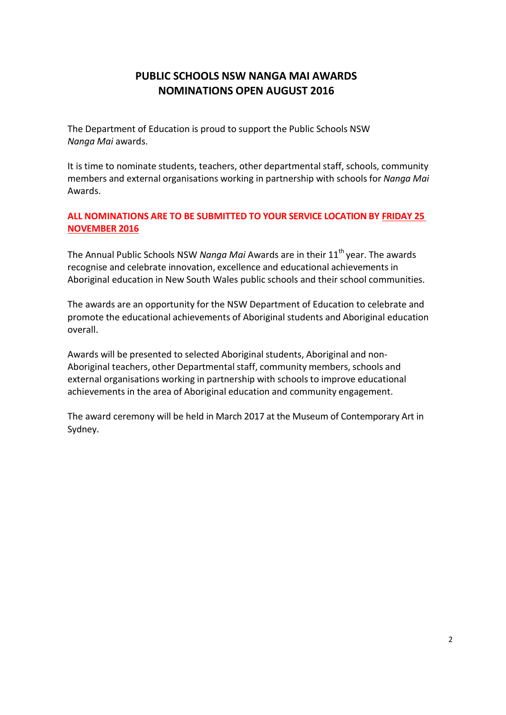# **PUBLIC SCHOOLS NSW NANGA MAI AWARDS NOMINATIONS OPEN AUGUST 2016**

The Department of Education is proud to support the Public Schools NSW *Nanga Mai* awards.

It is time to nominate students, teachers, other departmental staff, schools, community members and external organisations working in partnership with schools for *Nanga Mai* Awards.

## **ALL NOMINATIONS ARE TO BE SUBMITTED TO YOUR SERVICE LOCATION BY FRIDAY 25 NOVEMBER 2016**

The Annual Public Schools NSW *Nanga Mai* Awards are in their 11<sup>th</sup> year. The awards recognise and celebrate innovation, excellence and educational achievements in Aboriginal education in New South Wales public schools and their school communities.

The awards are an opportunity for the NSW Department of Education to celebrate and promote the educational achievements of Aboriginal students and Aboriginal education overall.

Awards will be presented to selected Aboriginal students, Aboriginal and non-Aboriginal teachers, other Departmental staff, community members, schools and external organisations working in partnership with schools to improve educational achievements in the area of Aboriginal education and community engagement.

The award ceremony will be held in March 2017 at the Museum of Contemporary Art in Sydney.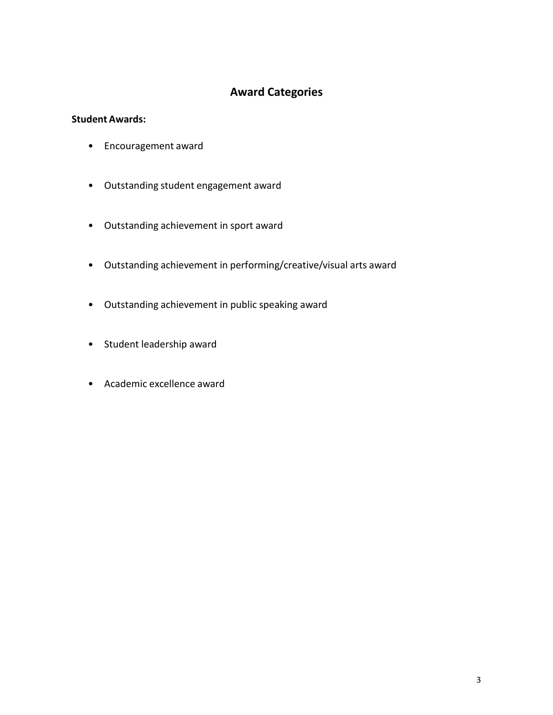# **Award Categories**

### <span id="page-3-0"></span>**Student Awards:**

- Encouragement award
- Outstanding student engagement award
- Outstanding achievement in sport award
- Outstanding achievement in performing/creative/visual arts award
- Outstanding achievement in public speaking award
- Student leadership award
- Academic excellence award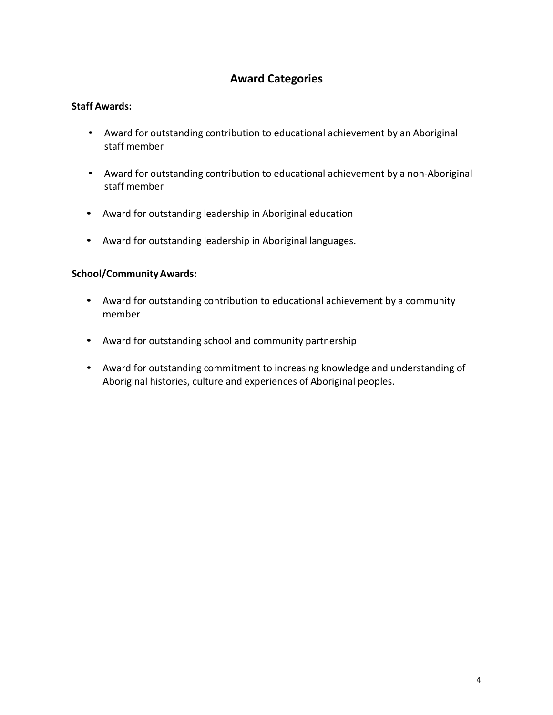# **Award Categories**

### **Staff Awards:**

- Award for outstanding contribution to educational achievement by an Aboriginal staff member
- Award for outstanding contribution to educational achievement by a non-Aboriginal staff member
- Award for outstanding leadership in Aboriginal education
- Award for outstanding leadership in Aboriginal languages.

### **School/Community Awards:**

- Award for outstanding contribution to educational achievement by a community member
- Award for outstanding school and community partnership
- Award for outstanding commitment to increasing knowledge and understanding of Aboriginal histories, culture and experiences of Aboriginal peoples.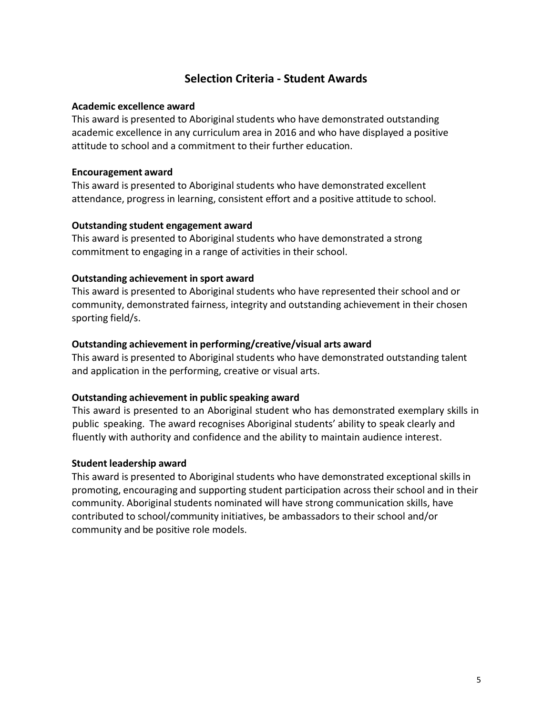# **Selection Criteria - Student Awards**

### **Academic excellence award**

This award is presented to Aboriginal students who have demonstrated outstanding academic excellence in any curriculum area in 2016 and who have displayed a positive attitude to school and a commitment to their further education.

### **Encouragement award**

This award is presented to Aboriginal students who have demonstrated excellent attendance, progress in learning, consistent effort and a positive attitude to school.

### **Outstanding student engagement award**

This award is presented to Aboriginal students who have demonstrated a strong commitment to engaging in a range of activities in their school.

### **Outstanding achievement in sport award**

This award is presented to Aboriginal students who have represented their school and or community, demonstrated fairness, integrity and outstanding achievement in their chosen sporting field/s.

### **Outstanding achievement in performing/creative/visual arts award**

This award is presented to Aboriginal students who have demonstrated outstanding talent and application in the performing, creative or visual arts.

### **Outstanding achievement in public speaking award**

This award is presented to an Aboriginal student who has demonstrated exemplary skills in public speaking. The award recognises Aboriginal students' ability to speak clearly and fluently with authority and confidence and the ability to maintain audience interest.

### **Student leadership award**

This award is presented to Aboriginal students who have demonstrated exceptional skills in promoting, encouraging and supporting student participation across their school and in their community. Aboriginal students nominated will have strong communication skills, have contributed to school/community initiatives, be ambassadors to their school and/or community and be positive role models.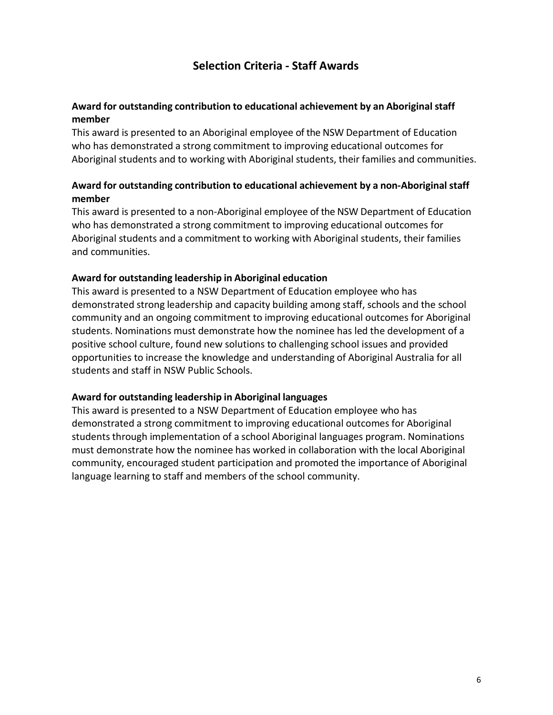# **Selection Criteria - Staff Awards**

### **Award for outstanding contribution to educational achievement by an Aboriginal staff member**

This award is presented to an Aboriginal employee of the NSW Department of Education who has demonstrated a strong commitment to improving educational outcomes for Aboriginal students and to working with Aboriginal students, their families and communities.

### **Award for outstanding contribution to educational achievement by a non-Aboriginal staff member**

This award is presented to a non-Aboriginal employee of the NSW Department of Education who has demonstrated a strong commitment to improving educational outcomes for Aboriginal students and a commitment to working with Aboriginal students, their families and communities.

### **Award for outstanding leadership in Aboriginal education**

This award is presented to a NSW Department of Education employee who has demonstrated strong leadership and capacity building among staff, schools and the school community and an ongoing commitment to improving educational outcomes for Aboriginal students. Nominations must demonstrate how the nominee has led the development of a positive school culture, found new solutions to challenging school issues and provided opportunities to increase the knowledge and understanding of Aboriginal Australia for all students and staff in NSW Public Schools.

### **Award for outstanding leadership in Aboriginal languages**

This award is presented to a NSW Department of Education employee who has demonstrated a strong commitment to improving educational outcomes for Aboriginal students through implementation of a school Aboriginal languages program. Nominations must demonstrate how the nominee has worked in collaboration with the local Aboriginal community, encouraged student participation and promoted the importance of Aboriginal language learning to staff and members of the school community.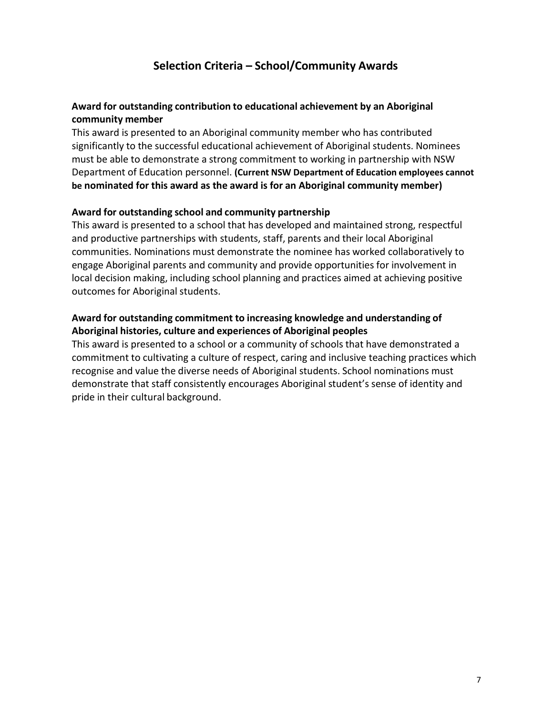# **Selection Criteria – School/Community Awards**

### **Award for outstanding contribution to educational achievement by an Aboriginal community member**

This award is presented to an Aboriginal community member who has contributed significantly to the successful educational achievement of Aboriginal students. Nominees must be able to demonstrate a strong commitment to working in partnership with NSW Department of Education personnel. **(Current NSW Department of Education employees cannot be nominated for this award as the award is for an Aboriginal community member)**

### **Award for outstanding school and community partnership**

This award is presented to a school that has developed and maintained strong, respectful and productive partnerships with students, staff, parents and their local Aboriginal communities. Nominations must demonstrate the nominee has worked collaboratively to engage Aboriginal parents and community and provide opportunities for involvement in local decision making, including school planning and practices aimed at achieving positive outcomes for Aboriginal students.

### **Award for outstanding commitment to increasing knowledge and understanding of Aboriginal histories, culture and experiences of Aboriginal peoples**

This award is presented to a school or a community of schools that have demonstrated a commitment to cultivating a culture of respect, caring and inclusive teaching practices which recognise and value the diverse needs of Aboriginal students. School nominations must demonstrate that staff consistently encourages Aboriginal student's sense of identity and pride in their cultural background.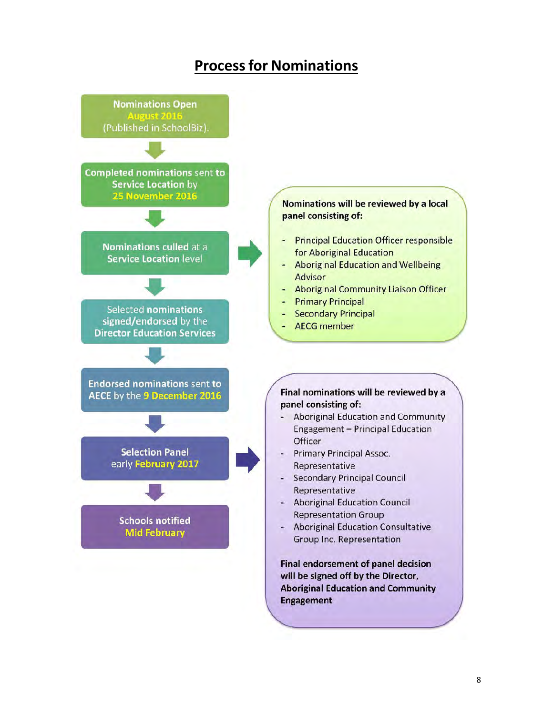# **Process for Nominations**

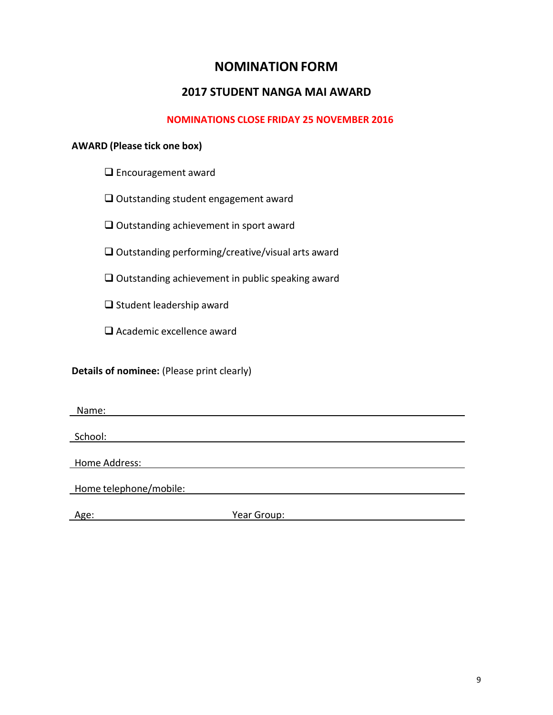# **NOMINATION FORM**

## **2017 STUDENT NANGA MAI AWARD**

### **NOMINATIONS CLOSE FRIDAY 25 NOVEMBER 2016**

### **AWARD (Please tick one box)**

- □ Encouragement award
- $\Box$  Outstanding student engagement award
- $\Box$  Outstanding achievement in sport award
- $\square$  Outstanding performing/creative/visual arts award
- $\square$  Outstanding achievement in public speaking award
- $\square$  Student leadership award
- □ Academic excellence award

### **Details of nominee:** (Please print clearly)

Name:

School:

Home Address:

Home telephone/mobile:

**Age:** Year Group: **Year Group: Age: Network**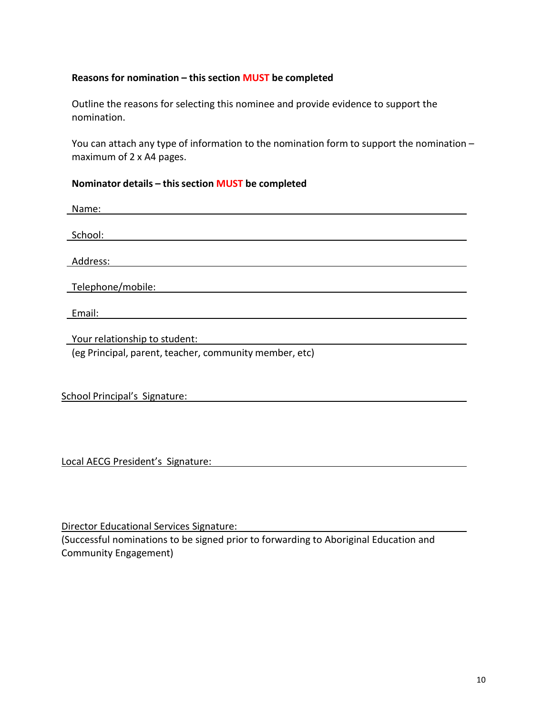### **Reasons for nomination – this section MUST be completed**

Outline the reasons for selecting this nominee and provide evidence to support the nomination.

You can attach any type of information to the nomination form to support the nomination – maximum of 2 x A4 pages.

### **Nominator details – this section MUST be completed**

| Name:                                                  |
|--------------------------------------------------------|
|                                                        |
| School:                                                |
|                                                        |
| Address:                                               |
|                                                        |
| Telephone/mobile:                                      |
|                                                        |
| Email:                                                 |
|                                                        |
| Your relationship to student:                          |
| (eg Principal, parent, teacher, community member, etc) |
|                                                        |

| School Principal's Signature: |
|-------------------------------|
|-------------------------------|

Local AECG President's Signature:

Director Educational Services Signature:

(Successful nominations to be signed prior to forwarding to Aboriginal Education and Community Engagement)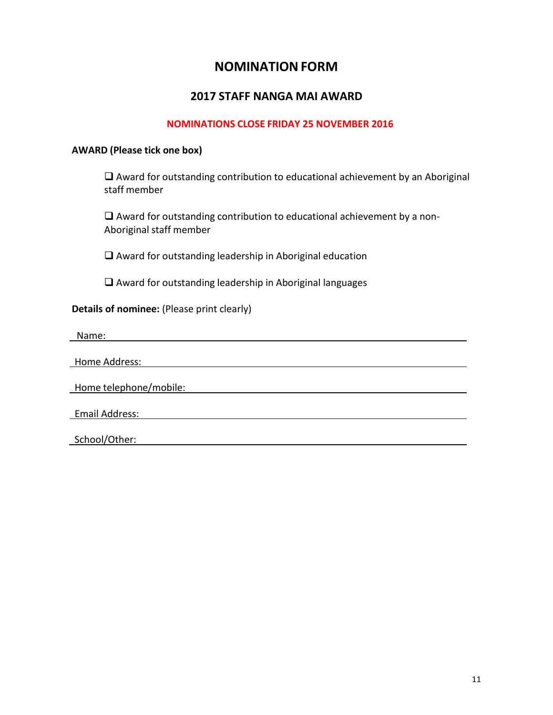# **NOMINATION FORM**

### **2017 STAFF NANGA MAI AWARD**

### **NOMINATIONS CLOSE FRIDAY 25 NOVEMBER 2016**

#### **AWARD (Please tick one box)**

 $\Box$  Award for outstanding contribution to educational achievement by an Aboriginal staff member

 $\Box$  Award for outstanding contribution to educational achievement by a non-Aboriginal staff member

 $\square$  Award for outstanding leadership in Aboriginal education

 $\square$  Award for outstanding leadership in Aboriginal languages

### **Details of nominee:** (Please print clearly)

Name:

Home Address:

Home telephone/mobile:

Email Address:

School/Other: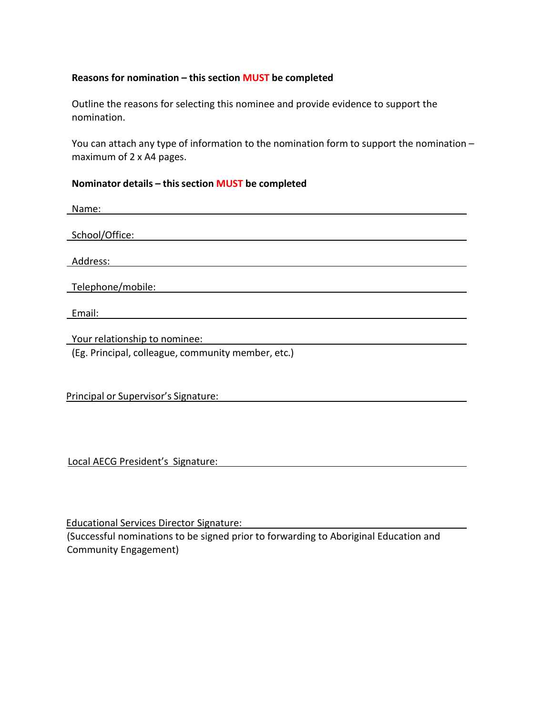### **Reasons for nomination – this section MUST be completed**

Outline the reasons for selecting this nominee and provide evidence to support the nomination.

You can attach any type of information to the nomination form to support the nomination – maximum of 2 x A4 pages.

### **Nominator details – this section MUST be completed**

| Name:                                              |
|----------------------------------------------------|
|                                                    |
| School/Office:                                     |
|                                                    |
| Address:                                           |
|                                                    |
| Telephone/mobile:                                  |
|                                                    |
| Email:                                             |
|                                                    |
| Your relationship to nominee:                      |
| (Eg. Principal, colleague, community member, etc.) |

Principal or Supervisor's Signature:

Local AECG President's Signature:

Educational Services Director Signature: (Successful nominations to be signed prior to forwarding to Aboriginal Education and Community Engagement)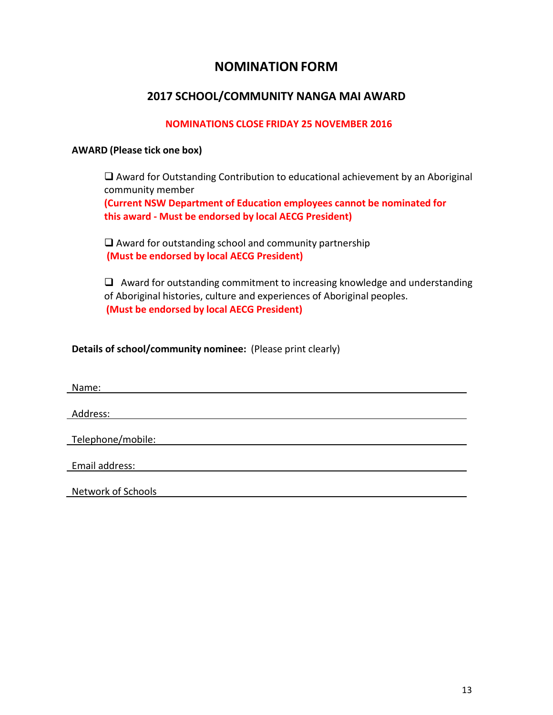# **NOMINATION FORM**

# **2017 SCHOOL/COMMUNITY NANGA MAI AWARD**

### **NOMINATIONS CLOSE FRIDAY 25 NOVEMBER 2016**

### **AWARD (Please tick one box)**

 $\Box$  Award for Outstanding Contribution to educational achievement by an Aboriginal community member **(Current NSW Department of Education employees cannot be nominated for this award - Must be endorsed by local AECG President)**

 $\Box$  Award for outstanding school and community partnership **(Must be endorsed by local AECG President)**

 $\Box$  Award for outstanding commitment to increasing knowledge and understanding of Aboriginal histories, culture and experiences of Aboriginal peoples. **(Must be endorsed by local AECG President)**

**Details of school/community nominee:** (Please print clearly)

 Name: Address: Telephone/mobile: Email address:

Network of Schools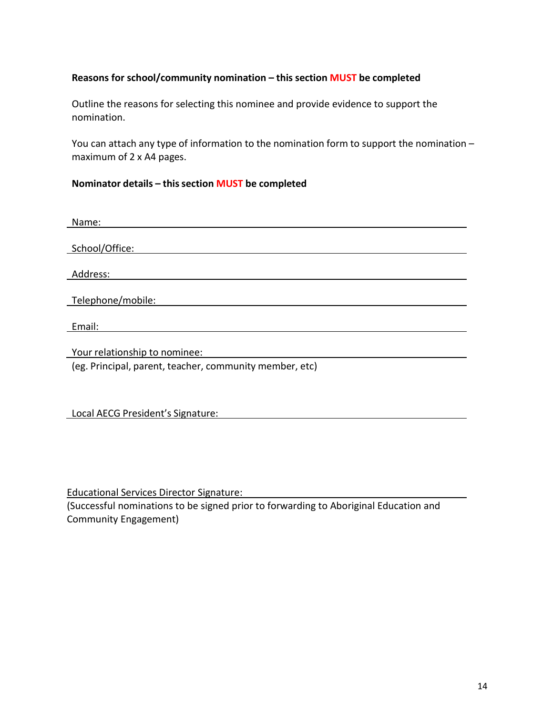### **Reasons for school/community nomination – this section MUST be completed**

Outline the reasons for selecting this nominee and provide evidence to support the nomination.

You can attach any type of information to the nomination form to support the nomination – maximum of 2 x A4 pages.

### **Nominator details – this section MUST be completed**

| Name:                                                   |
|---------------------------------------------------------|
|                                                         |
| School/Office:                                          |
|                                                         |
| Address:                                                |
|                                                         |
| Telephone/mobile:                                       |
|                                                         |
| Email:                                                  |
|                                                         |
| Your relationship to nominee:                           |
| (eg. Principal, parent, teacher, community member, etc) |
|                                                         |
|                                                         |
|                                                         |
| Local AECG President's Signature:                       |

Educational Services Director Signature:

(Successful nominations to be signed prior to forwarding to Aboriginal Education and Community Engagement)